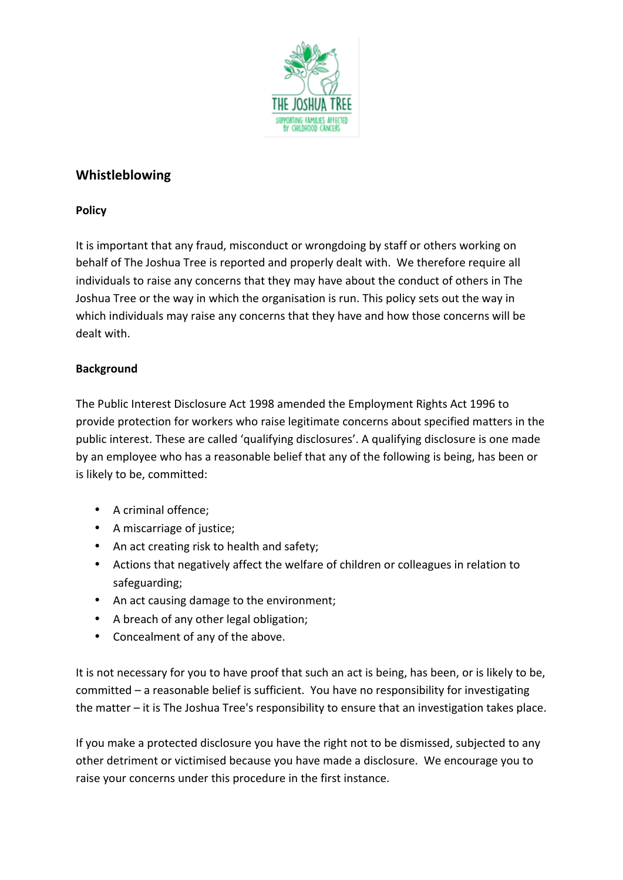

# **Whistleblowing**

### **Policy**

It is important that any fraud, misconduct or wrongdoing by staff or others working on behalf of The Joshua Tree is reported and properly dealt with. We therefore require all individuals to raise any concerns that they may have about the conduct of others in The Joshua Tree or the way in which the organisation is run. This policy sets out the way in which individuals may raise any concerns that they have and how those concerns will be dealt with.

## **Background**

The Public Interest Disclosure Act 1998 amended the Employment Rights Act 1996 to provide protection for workers who raise legitimate concerns about specified matters in the public interest. These are called 'qualifying disclosures'. A qualifying disclosure is one made by an employee who has a reasonable belief that any of the following is being, has been or is likely to be, committed:

- A criminal offence:
- A miscarriage of justice;
- An act creating risk to health and safety;
- Actions that negatively affect the welfare of children or colleagues in relation to safeguarding;
- An act causing damage to the environment;
- A breach of any other legal obligation;
- Concealment of any of the above.

It is not necessary for you to have proof that such an act is being, has been, or is likely to be, committed – a reasonable belief is sufficient. You have no responsibility for investigating the matter  $-$  it is The Joshua Tree's responsibility to ensure that an investigation takes place.

If you make a protected disclosure you have the right not to be dismissed, subjected to any other detriment or victimised because you have made a disclosure. We encourage you to raise your concerns under this procedure in the first instance.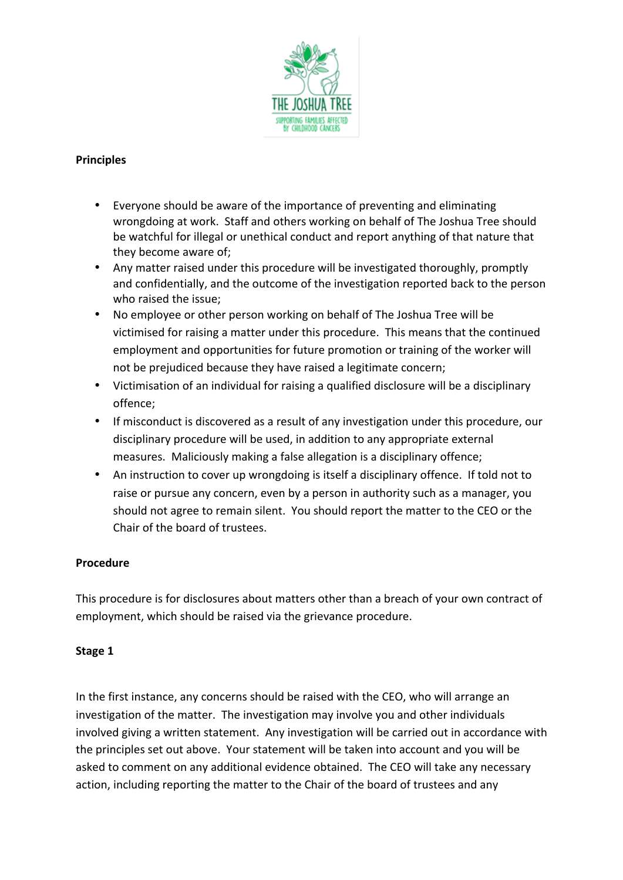

#### **Principles**

- Everyone should be aware of the importance of preventing and eliminating wrongdoing at work. Staff and others working on behalf of The Joshua Tree should be watchful for illegal or unethical conduct and report anything of that nature that they become aware of:
- Any matter raised under this procedure will be investigated thoroughly, promptly and confidentially, and the outcome of the investigation reported back to the person who raised the issue:
- No employee or other person working on behalf of The Joshua Tree will be victimised for raising a matter under this procedure. This means that the continued employment and opportunities for future promotion or training of the worker will not be prejudiced because they have raised a legitimate concern;
- Victimisation of an individual for raising a qualified disclosure will be a disciplinary offence;
- If misconduct is discovered as a result of any investigation under this procedure, our disciplinary procedure will be used, in addition to any appropriate external measures. Maliciously making a false allegation is a disciplinary offence;
- An instruction to cover up wrongdoing is itself a disciplinary offence. If told not to raise or pursue any concern, even by a person in authority such as a manager, you should not agree to remain silent. You should report the matter to the CEO or the Chair of the board of trustees.

#### **Procedure**

This procedure is for disclosures about matters other than a breach of your own contract of employment, which should be raised via the grievance procedure.

## Stage 1

In the first instance, any concerns should be raised with the CEO, who will arrange an investigation of the matter. The investigation may involve you and other individuals involved giving a written statement. Any investigation will be carried out in accordance with the principles set out above. Your statement will be taken into account and you will be asked to comment on any additional evidence obtained. The CEO will take any necessary action, including reporting the matter to the Chair of the board of trustees and any